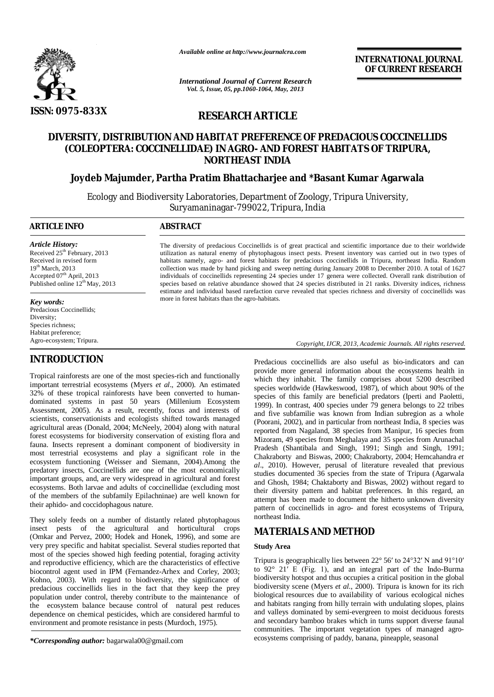

*Available online at http://www.journalcra.com*

**INTERNATIONAL JOURNAL OF CURRENT RESEARCH** 

*International Journal of Current Research Vol. 5, Issue, 05, pp.1060-1064, May, 2013*

# **RESEARCH ARTICLE**

# **DIVERSITY, DISTRIBUTION AND HABITAT PREFERENCE OF PREDACIOUS COCCINELLIDS (COLEOPTERA: COCCINELLIDAE) IN AGRO- AND FOREST HABITATS OF TRIPURA, NORTHEAST INDIA**

# **Joydeb Majumder, Partha Pratim Bhattacharjee and \*Basant Kumar Agarwala**

Ecology and Biodiversity Laboratories, Department of Zoology, Tripura University, Suryamaninagar-799022, Tripura, India

## **ARTICLE INFO ABSTRACT**

*Article History:* Received 25<sup>th</sup> February, 2013 Received in revised form 19<sup>th</sup> March, 2013 Accepted 07<sup>th</sup> April, 2013 Published online  $12^{th}$  May, 2013

#### *Key words:*

Predacious Coccinellids; Diversity; Species richness; Habitat preference; Agro-ecosystem; Tripura.

# **INTRODUCTION**

Tropical rainforests are one of the most species-rich and functionally important terrestrial ecosystems (Myers *et al*., 2000). An estimated 32% of these tropical rainforests have been converted to humandominated systems in past 50 years (Millenium Ecosystem Assessment, 2005). As a result, recently, focus and interests of scientists, conservationists and ecologists shifted towards managed agricultural areas (Donald, 2004; McNeely, 2004) along with natural forest ecosystems for biodiversity conservation of existing flora and fauna. Insects represent a dominant component of biodiversity in most terrestrial ecosystems and play a significant role in the ecosystem functioning (Weisser and Siemann, 2004).Among the predatory insects, Coccinellids are one of the most economically important groups, and, are very widespread in agricultural and forest ecosystems. Both larvae and adults of coccinellidae (excluding most of the members of the subfamily Epilachninae) are well known for their aphido- and coccidophagous nature.

They solely feeds on a number of distantly related phytophagous insect pests of the agricultural and horticultural crops (Omkar and Pervez, 2000; Hodek and Honek, 1996), and some are very prey specific and habitat specialist. Several studies reported that most of the species showed high feeding potential, foraging activity and reproductive efficiency, which are the characteristics of effective biocontrol agent used in IPM (Fernandez-Arhex and Corley, 2003; Kohno, 2003). With regard to biodiversity, the significance of predacious coccinellids lies in the fact that they keep the prey population under control, thereby contribute to the maintenance of the ecosystem balance because control of natural pest reduces dependence on chemical pesticides, which are considered harmful to environment and promote resistance in pests (Murdoch, 1975).

*\*Corresponding author:* bagarwala00@gmail.com

The diversity of predacious Coccinellids is of great practical and scientific importance due to their worldwide utilization as natural enemy of phytophagous insect pests. Present inventory was carried out in two types of habitats namely, agro- and forest habitats for predacious coccinellids in Tripura, northeast India. Random collection was made by hand picking and sweep netting during January 2008 to December 2010. A total of 1627 individuals of coccinellids representing 24 species under 17 genera were collected. Overall rank distribution of species based on relative abundance showed that 24 species distributed in 21 ranks. Diversity indices, richness estimate and individual based rarefaction curve revealed that species richness and diversity of coccinellids was more in forest habitats than the agro-habitats.

*Copyright, IJCR, 2013, Academic Journals. All rights reserved.*

Predacious coccinellids are also useful as bio-indicators and can provide more general information about the ecosystems health in which they inhabit. The family comprises about 5200 described species worldwide (Hawkeswood, 1987), of which about 90% of the species of this family are beneficial predators (Iperti and Paoletti, 1999). In contrast, 400 species under 79 genera belongs to 22 tribes and five subfamilie was known from Indian subregion as a whole (Poorani, 2002), and in particular from northeast India, 8 species was reported from Nagaland, 38 species from Manipur, 16 species from Mizoram, 49 species from Meghalaya and 35 species from Arunachal Pradesh (Shantibala and Singh, 1991; Singh and Singh, 1991; Chakraborty and Biswas, 2000; Chakraborty, 2004; Hemcahandra *et al*., 2010). However, perusal of literature revealed that previous studies documented 36 species from the state of Tripura (Agarwala and Ghosh, 1984; Chaktaborty and Biswas, 2002) without regard to their diversity pattern and habitat preferences. In this regard, an attempt has been made to document the hitherto unknown diversity pattern of coccinellids in agro- and forest ecosystems of Tripura, northeast India.

## **MATERIALS AND METHOD**

## **Study Area**

Tripura is geographically lies between 22° 56′ to 24°32′ N and 91°10′ to 92° 21′ E (Fig. 1), and an integral part of the Indo-Burma biodiversity hotspot and thus occupies a critical position in the global biodiversity scene (Myers *et al*., 2000). Tripura is known for its rich biological resources due to availability of various ecological niches and habitats ranging from hilly terrain with undulating slopes, plains and valleys dominated by semi-evergreen to moist deciduous forests and secondary bamboo brakes which in turns support diverse faunal communities. The important vegetation types of managed agroecosystems comprising of paddy, banana, pineapple, seasonal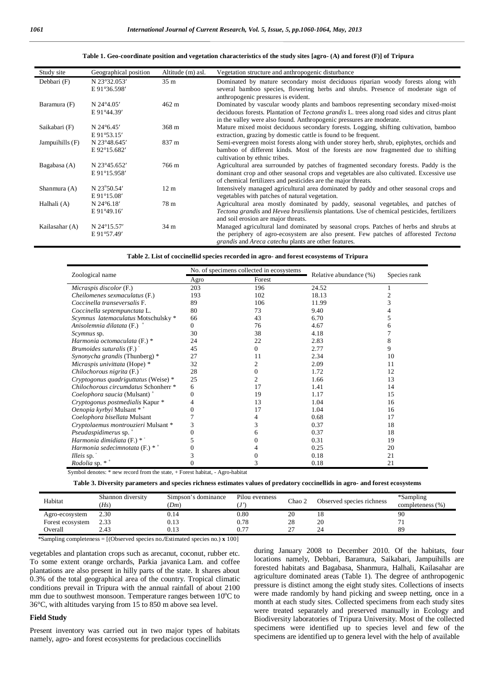#### **Table 1. Geo-coordinate position and vegetation characteristics of the study sites [agro- (A) and forest (F)] of Tripura**

| Study site        | Geographical position  | Altitude (m) asl. | Vegetation structure and anthropogenic disturbance                                                                                               |
|-------------------|------------------------|-------------------|--------------------------------------------------------------------------------------------------------------------------------------------------|
| Debbari (F)       | N 23°32.053'           | 35 <sub>m</sub>   | Dominated by mature secondary moist deciduous riparian woody forests along with                                                                  |
|                   | E 91°36.598'           |                   | several bamboo species, flowering herbs and shrubs. Presence of moderate sign of                                                                 |
|                   |                        |                   | anthropogenic pressures is evident.                                                                                                              |
| Baramura (F)      | $N 24^{\circ}4.05'$    | $462 \text{ m}$   | Dominated by vascular woody plants and bamboos representing secondary mixed-moist                                                                |
|                   | E 91°44.39'            |                   | deciduous forests. Plantation of <i>Tectona grandis</i> L. trees along road sides and citrus plant                                               |
|                   |                        |                   | in the valley were also found. Anthropogenic pressures are moderate.                                                                             |
| Saikabari (F)     | N $24^{\circ}6.45'$    | $368 \text{ m}$   | Mature mixed moist deciduous secondary forests. Logging, shifting cultivation, bamboo                                                            |
|                   | $E91^{\circ}53.15'$    |                   | extraction, grazing by domestic cattle is found to be frequent.                                                                                  |
| Jampuihills $(F)$ | N 23°48.645'           | 837 m             | Semi-evergreen moist forests along with under storey herb, shrub, epiphytes, orchids and                                                         |
|                   | E 92°15.682'           |                   | bamboo of different kinds. Most of the forests are now fragmented due to shifting                                                                |
|                   |                        |                   | cultivation by ethnic tribes.                                                                                                                    |
| Bagabasa (A)      | N 23°45.652'           | 766 m             | Agricultural area surrounded by patches of fragmented secondary forests. Paddy is the                                                            |
|                   | E 91°15.958'           |                   | dominant crop and other seasonal crops and vegetables are also cultivated. Excessive use                                                         |
|                   |                        |                   | of chemical fertilizers and pesticides are the major threats.                                                                                    |
| Shanmura (A)      | N 23°50.54'            | 12 <sub>m</sub>   | Intensively managed agricultural area dominated by paddy and other seasonal crops and                                                            |
|                   | $E 91^{\circ}15.08'$   |                   | vegetables with patches of natural vegetation.                                                                                                   |
| Halhali (A)       | $N$ 24 $\degree$ 6.18' | 78 m              | Agricultural area mostly dominated by paddy, seasonal vegetables, and patches of                                                                 |
|                   | E 91°49.16'            |                   | <i>Tectona grandis</i> and <i>Hevea brasiliensis</i> plantations. Use of chemical pesticides, fertilizers<br>and soil erosion are major threats. |
| Kailasahar (A)    | N 24°15.57'            | 34 m              | Managed agricultural land dominated by seasonal crops. Patches of herbs and shrubs at                                                            |
|                   | E 91°57.49'            |                   | the periphery of agro-ecosystem are also present. Few patches of afforested Tectona                                                              |
|                   |                        |                   | grandis and Areca catechu plants are other features.                                                                                             |

|  |  | Table 2. List of coccinellid species recorded in agro- and forest ecosystems of Tripura |  |  |
|--|--|-----------------------------------------------------------------------------------------|--|--|
|  |  |                                                                                         |  |  |

|                                                                                                        |      | No. of specimens collected in ecosystems |                        |              |  |
|--------------------------------------------------------------------------------------------------------|------|------------------------------------------|------------------------|--------------|--|
| Zoological name                                                                                        | Agro | Forest                                   | Relative abundance (%) | Species rank |  |
| Micraspis discolor (F.)                                                                                | 203  | 196                                      | 24.52                  |              |  |
| Cheilomenes sexmaculatus (F.)                                                                          | 193  | 102                                      | 18.13                  | 2            |  |
| Coccinella transeversalis F.                                                                           | 89   | 106                                      | 11.99                  | 3            |  |
| Coccinella septempunctata L.                                                                           | 80   | 73                                       | 9.40                   |              |  |
| Scymnus latemaculatus Motschulsky *                                                                    | 66   | 43                                       | 6.70                   | 5            |  |
| Anisolemnia dilatata (F.) +                                                                            | 0    | 76                                       | 4.67                   | 6            |  |
| Scymnus sp.                                                                                            | 30   | 38                                       | 4.18                   |              |  |
| Harmonia octomaculata (F.) *                                                                           | 24   | 22                                       | 2.83                   | 8            |  |
| Brumoides suturalis (F.)                                                                               | 45   | 0                                        | 2.77                   | 9            |  |
| Synonycha grandis (Thunberg) *                                                                         | 27   | 11                                       | 2.34                   | 10           |  |
| Micraspis univittata (Hope) *                                                                          | 32   | 2                                        | 2.09                   | 11           |  |
| Chilochorous nigrita (F.)                                                                              | 28   | 0                                        | 1.72                   | 12           |  |
| Cryptogonus quadriguttatus (Weise) *                                                                   | 25   | 2                                        | 1.66                   | 13           |  |
| Chilochorous circumdatus Schonherr *                                                                   | 6    | 17                                       | 1.41                   | 14           |  |
| Coelophora saucia (Mulsant) <sup>+</sup>                                                               | 0    | 19                                       | 1.17                   | 15           |  |
| Cryptogonus postmedialis Kapur *                                                                       | 4    | 13                                       | 1.04                   | 16           |  |
| Oenopia kyrbyi Mulsant * *                                                                             | 0    | 17                                       | 1.04                   | 16           |  |
| Coelophora bisellata Mulsant                                                                           |      |                                          | 0.68                   | 17           |  |
| Cryptolaemus montrouzieri Mulsant *                                                                    | 3    | 3                                        | 0.37                   | 18           |  |
| Pseudaspidimerus sp. <sup>+</sup>                                                                      | 0    | 6                                        | 0.37                   | 18           |  |
| Harmonia dimidiata (F.) *                                                                              | 5    |                                          | 0.31                   | 19           |  |
| Harmonia sedecimnotata (F.) $*$ <sup>+</sup>                                                           | 0    |                                          | 0.25                   | 20           |  |
| Illeis sp.                                                                                             | 3    |                                          | 0.18                   | 21           |  |
| Rodolia sp. $*$ <sup>+</sup><br>Cruigh al-dan ataan Sunari na aand finang tha atata . I Fanaat babitat |      | A and Indiana                            | 0.18                   | 21           |  |

Symbol denotes: \* new record from the state, + Forest habitat, - Agro-habitat

**Table 3. Diversity parameters and species richness estimates values of predatory coccinellids in agro- and forest ecosystems**

| Habitat          | Shannon diversity<br>(Hs) | Simpson's dominance<br>(Dm) | Pilou evenness | Chao $\angle$ | Observed species richness | *Sampling<br>completeness (%) |
|------------------|---------------------------|-----------------------------|----------------|---------------|---------------------------|-------------------------------|
| Agro-ecosystem   | 2.30                      | 0.14                        | $_{0.80}$      | 20            |                           | 90                            |
| Forest ecosystem | 2.33                      | 0.13                        | $_{0.78}$      | 28            | 20                        |                               |
| Overall          | 2.43                      | 0.13                        | 0.77           | $\sim$<br>-   | 24                        | 89                            |

\*Sampling completeness = [(Observed species no.**/**Estimated species no.) **x** 100]

vegetables and plantation crops such as arecanut, coconut, rubber etc. To some extent orange orchards, Parkia javanica Lam. and coffee plantations are also present in hilly parts of the state. It shares about 0.3% of the total geographical area of the country. Tropical climatic conditions prevail in Tripura with the annual rainfall of about 2100 mm due to southwest monsoon. Temperature ranges between  $10^{\circ}$ C to 36°C, with altitudes varying from 15 to 850 m above sea level.

#### **Field Study**

Present inventory was carried out in two major types of habitats namely, agro- and forest ecosystems for predacious coccinellids

during January 2008 to December 2010. Of the habitats, four locations namely, Debbari, Baramura, Saikabari, Jampuihills are forested habitats and Bagabasa, Shanmura, Halhali, Kailasahar are agriculture dominated areas (Table 1). The degree of anthropogenic pressure is distinct among the eight study sites. Collections of insects were made randomly by hand picking and sweep netting, once in a month at each study sites. Collected specimens from each study sites were treated separately and preserved manually in Ecology and Biodiversity laboratories of Tripura University. Most of the collected specimens were identified up to species level and few of the specimens are identified up to genera level with the help of available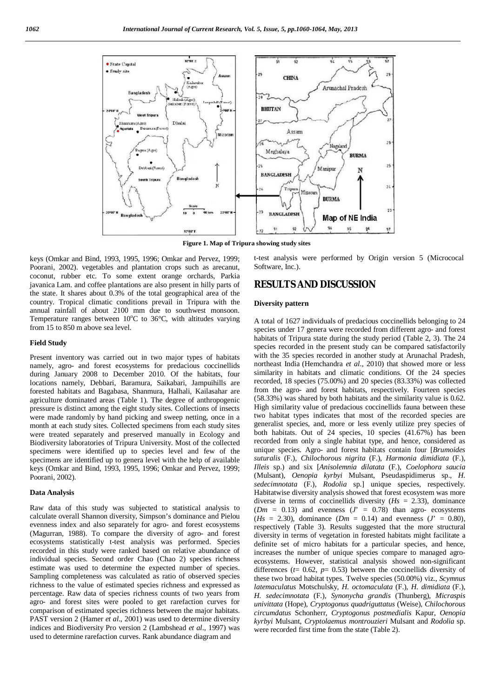

**Figure 1. Map of Tripura showing study sites**

keys (Omkar and Bind, 1993, 1995, 1996; Omkar and Pervez, 1999; Poorani, 2002). vegetables and plantation crops such as arecanut, coconut, rubber etc. To some extent orange orchards, Parkia javanica Lam. and coffee plantations are also present in hilly parts of the state. It shares about 0.3% of the total geographical area of the country. Tropical climatic conditions prevail in Tripura with the annual rainfall of about 2100 mm due to southwest monsoon. Temperature ranges between  $10^{\circ}$ C to  $36^{\circ}$ C, with altitudes varying from 15 to 850 m above sea level.

#### **Field Study**

Present inventory was carried out in two major types of habitats namely, agro- and forest ecosystems for predacious coccinellids during January 2008 to December 2010. Of the habitats, four locations namely, Debbari, Baramura, Saikabari, Jampuihills are forested habitats and Bagabasa, Shanmura, Halhali, Kailasahar are agriculture dominated areas (Table 1). The degree of anthropogenic pressure is distinct among the eight study sites. Collections of insects were made randomly by hand picking and sweep netting, once in a month at each study sites. Collected specimens from each study sites were treated separately and preserved manually in Ecology and Biodiversity laboratories of Tripura University. Most of the collected specimens were identified up to species level and few of the specimens are identified up to genera level with the help of available keys (Omkar and Bind, 1993, 1995, 1996; Omkar and Pervez, 1999; Poorani, 2002).

#### **Data Analysis**

Raw data of this study was subjected to statistical analysis to calculate overall Shannon diversity, Simpson's dominance and Pielou evenness index and also separately for agro- and forest ecosystems (Magurran, 1988). To compare the diversity of agro- and forest ecosystems statistically t-test analysis was performed. Species recorded in this study were ranked based on relative abundance of individual species. Second order Chao (Chao 2) species richness estimate was used to determine the expected number of species. Sampling completeness was calculated as ratio of observed species richness to the value of estimated species richness and expressed as percentage. Raw data of species richness counts of two years from agro- and forest sites were pooled to get rarefaction curves for comparison of estimated species richness between the major habitats. PAST version 2 (Hamer *et al*., 2001) was used to determine diversity indices and Biodiversity Pro version 2 (Lambshead *et al*., 1997) was used to determine rarefaction curves. Rank abundance diagram and

t-test analysis were performed by Origin version 5 (Micrococal Software, Inc.).

## **RESULTS AND DISCUSSION**

### **Diversity pattern**

A total of 1627 individuals of predacious coccinellids belonging to 24 species under 17 genera were recorded from different agro- and forest habitats of Tripura state during the study period (Table 2, 3). The 24 species recorded in the present study can be compared satisfactorily with the 35 species recorded in another study at Arunachal Pradesh, northeast India (Hemchandra *et al*., 2010) that showed more or less similarity in habitats and climatic conditions. Of the 24 species recorded, 18 species (75.00%) and 20 species (83.33%) was collected from the agro- and forest habitats, respectively. Fourteen species (58.33%) was shared by both habitats and the similarity value is 0.62. High similarity value of predacious coccinellids fauna between these two habitat types indicates that most of the recorded species are generalist species, and, more or less evenly utilize prey species of both habitats. Out of 24 species, 10 species (41.67%) has been recorded from only a single habitat type, and hence, considered as unique species. Agro- and forest habitats contain four [*Brumoides suturalis* (F.), *Chilochorous nigrita* (F.), *Harmonia dimidiata* (F.), *Illeis* sp.) and six [*Anisolemnia dilatata* (F.), *Coelophora saucia*  (Mulsant), *Oenopia kyrbyi* Mulsant, Pseudaspidimerus sp., *H. sedecimnotata* (F.), *Rodolia* sp.] unique species, respectively. Habitatwise diversity analysis showed that forest ecosystem was more diverse in terms of coccinellids diversity (*Hs* = 2.33), dominance  $(Dm = 0.13)$  and evenness  $(J = 0.78)$  than agro- ecosystems  $(Hs = 2.30)$ , dominance  $(Dm = 0.14)$  and evenness  $(J' = 0.80)$ , respectively (Table 3). Results suggested that the more structural diversity in terms of vegetation in forested habitats might facilitate a definite set of micro habitats for a particular species, and hence, increases the number of unique species compare to managed agroecosystems. However, statistical analysis showed non-significant differences ( $t=$  0.62,  $p=$  0.53) between the coccinellids diversity of these two broad habitat types. Twelve species (50.00%) viz., *Scymnus latemaculatus* Motschulsky*, H. octomaculata* (F.), *H. dimidiata* (F.), *H. sedecimnotata* (F.), *Synonycha grandis* (Thunberg), *Micraspis univittata* (Hope), *Cryptogonus quadriguttatus* (Weise), *Chilochorous circumdatus* Schonherr, *Cryptogonus postmedialis* Kapur, *Oenopia kyrbyi* Mulsant, *Cryptolaemus montrouzieri* Mulsant and *Rodolia* sp. were recorded first time from the state (Table 2).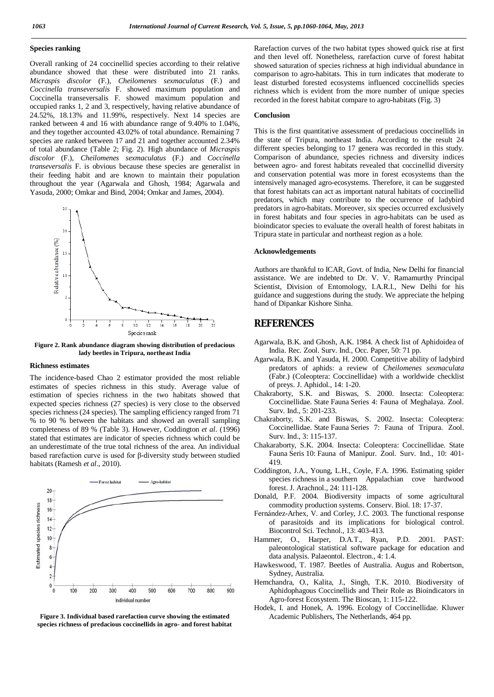## **Species ranking**

Overall ranking of 24 coccinellid species according to their relative abundance showed that these were distributed into 21 ranks. *Micraspis discolor* (F.), *Cheilomenes sexmaculatus* (F.) and *Coccinella transeversalis* F. showed maximum population and Coccinella transeversalis F. showed maximum population and occupied ranks 1, 2 and 3, respectively, having relative abundance of 24.52%, 18.13% and 11.99%, respectively. Next 14 species are ranked between 4 and 16 with abundance range of 9.40% to 1.04%, and they together accounted 43.02% of total abundance. Remaining 7 species are ranked between 17 and 21 and together accounted 2.34% of total abundance (Table 2; Fig. 2). High abundance of *Micraspis discolor* (F.), *Cheilomenes sexmaculatus* (F.) and *Coccinella transeversalis* F. is obvious because these species are generalist in their feeding habit and are known to maintain their population throughout the year (Agarwala and Ghosh, 1984; Agarwala and Yasuda, 2000; Omkar and Bind, 2004; Omkar and James, 2004).



**Figure 2. Rank abundance diagram showing distribution of predacious lady beetles in Tripura, northeast India**

#### **Richness estimates**

The incidence-based Chao 2 estimator provided the most reliable estimates of species richness in this study. Average value of estimation of species richness in the two habitats showed that expected species richness (27 species) is very close to the observed species richness (24 species). The sampling efficiency ranged from 71 % to 90 % between the habitats and showed an overall sampling completeness of 89 % (Table 3). However, Coddington *et al*. (1996) stated that estimates are indicator of species richness which could be an underestimate of the true total richness of the area. An individual based rarefaction curve is used for β-diversity study between studied habitats (Ramesh *et al*., 2010).



**Figure 3. Individual based rarefaction curve showing the estimated species richness of predacious coccinellids in agro- and forest habitat**

Rarefaction curves of the two habitat types showed quick rise at first and then level off. Nonetheless, rarefaction curve of forest habitat showed saturation of species richness at high individual abundance in comparison to agro-habitats. This in turn indicates that moderate to least disturbed forested ecosystems influenced coccinellids species richness which is evident from the more number of unique species recorded in the forest habitat compare to agro-habitats (Fig. 3)

#### **Conclusion**

This is the first quantitative assessment of predacious coccinellids in the state of Tripura, northeast India. According to the result 24 different species belonging to 17 genera was recorded in this study. Comparison of abundance, species richness and diversity indices between agro- and forest habitats revealed that coccinellid diversity and conservation potential was more in forest ecosystems than the intensively managed agro-ecosystems. Therefore, it can be suggested that forest habitats can act as important natural habitats of coccinellid predators, which may contribute to the occurrence of ladybird predators in agro-habitats. Moreover, six species occurred exclusively in forest habitats and four species in agro-habitats can be used as bioindicator species to evaluate the overall health of forest habitats in Tripura state in particular and northeast region as a hole.

#### **Acknowledgements**

Authors are thankful to ICAR, Govt. of India, New Delhi for financial assistance. We are indebted to Dr. V. V. Ramamurthy Principal Scientist, Division of Entomology, I.A.R.I., New Delhi for his guidance and suggestions during the study. We appreciate the helping hand of Dipankar Kishore Sinha.

## **REFERENCES**

- Agarwala, B.K. and Ghosh, A.K. 1984. A check list of Aphidoidea of India. Rec. Zool. Surv. Ind., Occ. Paper, 50: 71 pp.
- Agarwala, B.K. and Yasuda, H. 2000. Competitive ability of ladybird predators of aphids: a review of *Cheilomenes sexmaculata* (Fabr.) (Coleoptera: Coccinellidae) with a worldwide checklist of preys. J. Aphidol., 14: 1-20.
- Chakraborty, S.K. and Biswas, S. 2000. Insecta: Coleoptera: Coccinellidae. State Fauna Series 4: Fauna of Meghalaya. Zool. Surv. Ind., 5: 201-233.
- Chakraborty, S.K. and Biswas, S. 2002. Insecta: Coleoptera: Coccinellidae. State Fauna Series 7: Fauna of Tripura. Zool. Surv. Ind., 3: 115-137.
- Chakaraborty, S.K. 2004. Insecta: Coleoptera: Coccinellidae. State Fauna Seris 10: Fauna of Manipur. Zool. Surv. Ind., 10: 401- 419.
- Coddington, J.A., Young, L.H., Coyle, F.A. 1996. Estimating spider species richness in a southern Appalachian cove hardwood forest. J. Arachnol., 24: 111-128.
- Donald, P.F. 2004. Biodiversity impacts of some agricultural commodity production systems. Conserv. Biol. 18: 17-37.
- Fernández-Arhex, V. and Corley, J.C. 2003. The functional response of parasitoids and its implications for biological control. Biocontrol Sci. Technol., 13: 403-413.
- Hammer, O., Harper, D.A.T., Ryan, P.D. 2001. PAST: paleontological statistical software package for education and data analysis. Palaeontol. Electron., 4: 1.4.
- Hawkeswood, T. 1987. Beetles of Australia. Augus and Robertson, Sydney, Australia.
- Hemchandra, O., Kalita, J., Singh, T.K. 2010. Biodiversity of Aphidophagous Coccinellids and Their Role as Bioindicators in Agro-forest Ecosystem. The Bioscan, 1: 115-122.
- Hodek, I. and Honek, A. 1996. Ecology of Coccinellidae. Kluwer Academic Publishers, The Netherlands, 464 pp.